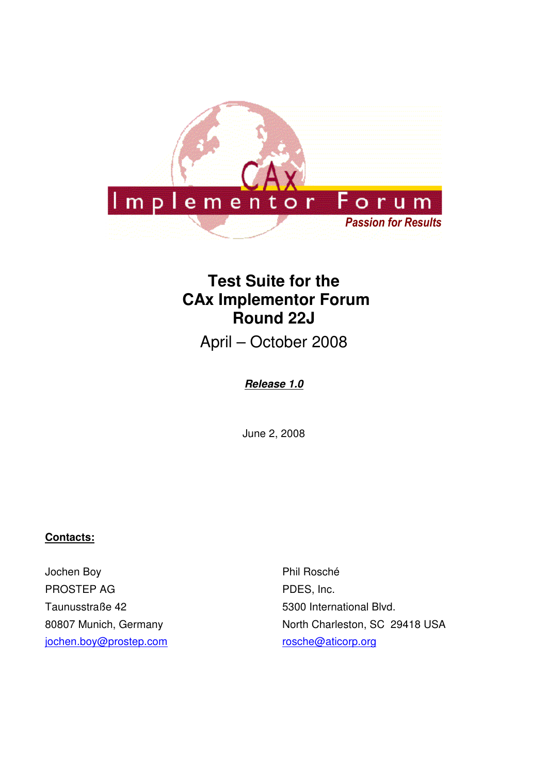

# **Test Suite for the CAx Implementor Forum Round 22J**

April – October 2008

## **Release 1.0**

June 2, 2008

## **Contacts:**

Jochen Boy PROSTEP AG Taunusstraße 42 80807 Munich, Germany jochen.boy@prostep.com

Phil Rosché PDES, Inc. 5300 International Blvd. North Charleston, SC 29418 USA rosche@aticorp.org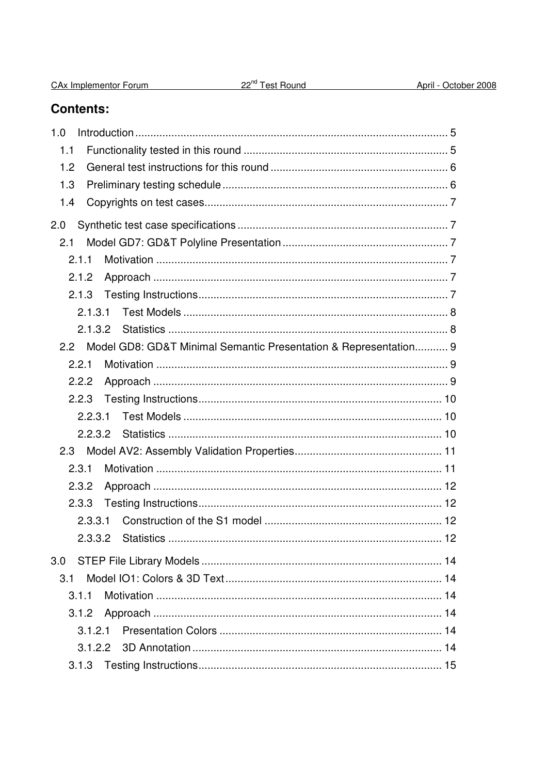| CAx Implementor Forum | 22 <sup>nd</sup> Test Round | April - October 2008 |
|-----------------------|-----------------------------|----------------------|
|                       |                             |                      |

## **Contents:**

| 1.0                                                                               |  |
|-----------------------------------------------------------------------------------|--|
| 1.1                                                                               |  |
| 1.2                                                                               |  |
| 1.3                                                                               |  |
| 1.4                                                                               |  |
| 2.0                                                                               |  |
| 2.1                                                                               |  |
| 2.1.1                                                                             |  |
| 2.1.2                                                                             |  |
| 2.1.3                                                                             |  |
| 2.1.3.1                                                                           |  |
| 2.1.3.2                                                                           |  |
| Model GD8: GD&T Minimal Semantic Presentation & Representation 9<br>$2.2^{\circ}$ |  |
| 2.2.1                                                                             |  |
| 2.2.2                                                                             |  |
| 2.2.3                                                                             |  |
| 2.2.3.1                                                                           |  |
| 2.2.3.2                                                                           |  |
| 2.3                                                                               |  |
| 2.3.1                                                                             |  |
| 2.3.2                                                                             |  |
| 2.3.3                                                                             |  |
| 2.3.3.1                                                                           |  |
|                                                                                   |  |
| 3.0                                                                               |  |
| 3.1                                                                               |  |
| 3.1.1                                                                             |  |
| 3.1.2                                                                             |  |
| 3.1.2.1                                                                           |  |
|                                                                                   |  |
| 3.1.3                                                                             |  |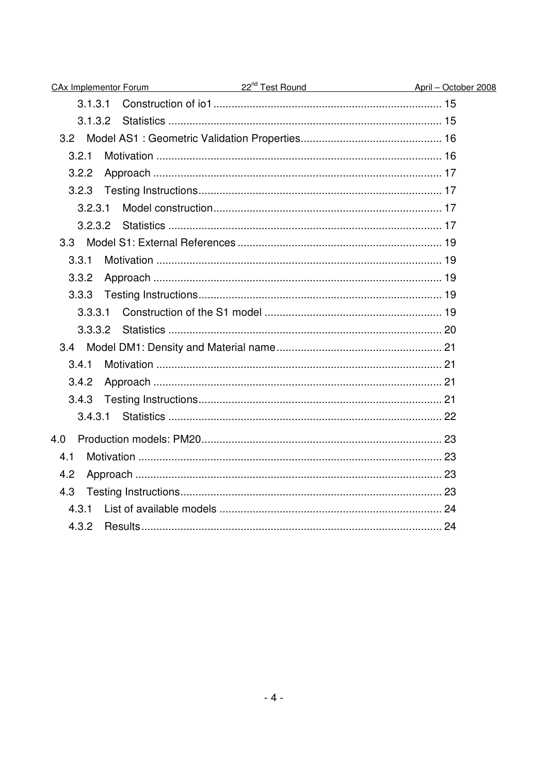| CAx Implementor Forum | 22 <sup>nd</sup> Test Round April - October 2008 |  |
|-----------------------|--------------------------------------------------|--|
| 3.1.3.1               |                                                  |  |
|                       |                                                  |  |
|                       |                                                  |  |
| 3.2.1                 |                                                  |  |
| 3.2.2                 |                                                  |  |
| 3.2.3                 |                                                  |  |
| 3.2.3.1               |                                                  |  |
|                       |                                                  |  |
|                       |                                                  |  |
| 3.3.1                 |                                                  |  |
| 3.3.2                 |                                                  |  |
| 3.3.3                 |                                                  |  |
| 3.3.3.1               |                                                  |  |
| 3.3.3.2               |                                                  |  |
|                       |                                                  |  |
| 3.4.1                 |                                                  |  |
| 3.4.2                 |                                                  |  |
| 3.4.3                 |                                                  |  |
| 3.4.3.1               |                                                  |  |
| 4.0                   |                                                  |  |
| 4.1                   |                                                  |  |
| 4.2                   |                                                  |  |
| 4.3                   |                                                  |  |
| 4.3.1                 |                                                  |  |
| 4.3.2                 |                                                  |  |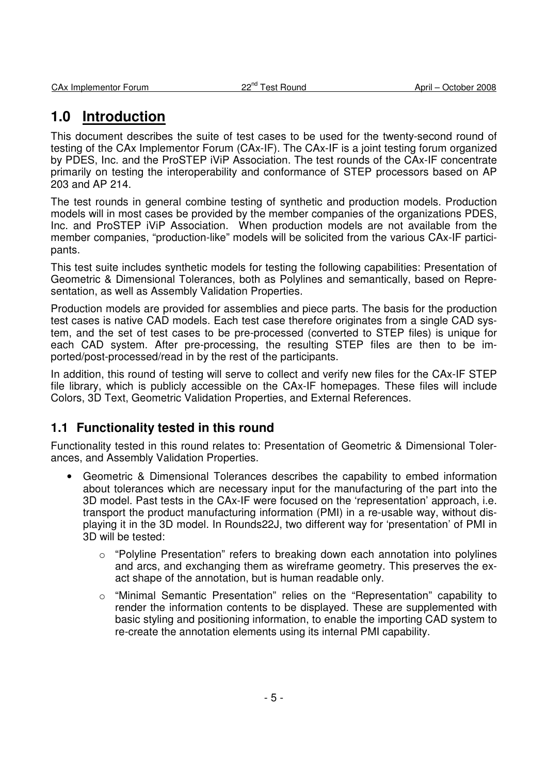## **1.0 Introduction**

This document describes the suite of test cases to be used for the twenty-second round of testing of the CAx Implementor Forum (CAx-IF). The CAx-IF is a joint testing forum organized by PDES, Inc. and the ProSTEP iViP Association. The test rounds of the CAx-IF concentrate primarily on testing the interoperability and conformance of STEP processors based on AP 203 and AP 214.

The test rounds in general combine testing of synthetic and production models. Production models will in most cases be provided by the member companies of the organizations PDES, Inc. and ProSTEP iViP Association. When production models are not available from the member companies, "production-like" models will be solicited from the various CAx-IF participants.

This test suite includes synthetic models for testing the following capabilities: Presentation of Geometric & Dimensional Tolerances, both as Polylines and semantically, based on Representation, as well as Assembly Validation Properties.

Production models are provided for assemblies and piece parts. The basis for the production test cases is native CAD models. Each test case therefore originates from a single CAD system, and the set of test cases to be pre-processed (converted to STEP files) is unique for each CAD system. After pre-processing, the resulting STEP files are then to be imported/post-processed/read in by the rest of the participants.

In addition, this round of testing will serve to collect and verify new files for the CAx-IF STEP file library, which is publicly accessible on the CAx-IF homepages. These files will include Colors, 3D Text, Geometric Validation Properties, and External References.

## **1.1 Functionality tested in this round**

Functionality tested in this round relates to: Presentation of Geometric & Dimensional Tolerances, and Assembly Validation Properties.

- Geometric & Dimensional Tolerances describes the capability to embed information about tolerances which are necessary input for the manufacturing of the part into the 3D model. Past tests in the CAx-IF were focused on the 'representation' approach, i.e. transport the product manufacturing information (PMI) in a re-usable way, without displaying it in the 3D model. In Rounds22J, two different way for 'presentation' of PMI in 3D will be tested:
	- $\circ$  "Polyline Presentation" refers to breaking down each annotation into polylines and arcs, and exchanging them as wireframe geometry. This preserves the exact shape of the annotation, but is human readable only.
	- "Minimal Semantic Presentation" relies on the "Representation" capability to render the information contents to be displayed. These are supplemented with basic styling and positioning information, to enable the importing CAD system to re-create the annotation elements using its internal PMI capability.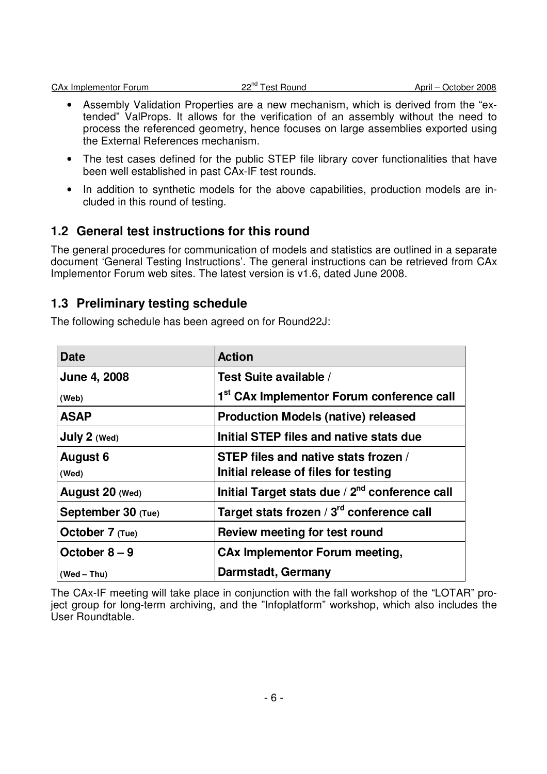| CA <sub>x</sub> Implementor Forum |  |
|-----------------------------------|--|
|                                   |  |

- Assembly Validation Properties are a new mechanism, which is derived from the "extended" ValProps. It allows for the verification of an assembly without the need to process the referenced geometry, hence focuses on large assemblies exported using the External References mechanism.
- The test cases defined for the public STEP file library cover functionalities that have been well established in past CAx-IF test rounds.
- In addition to synthetic models for the above capabilities, production models are included in this round of testing.

## **1.2 General test instructions for this round**

The general procedures for communication of models and statistics are outlined in a separate document 'General Testing Instructions'. The general instructions can be retrieved from CAx Implementor Forum web sites. The latest version is v1.6, dated June 2008.

## **1.3 Preliminary testing schedule**

The following schedule has been agreed on for Round22J:

| <b>Date</b>        | <b>Action</b>                                              |
|--------------------|------------------------------------------------------------|
| June 4, 2008       | Test Suite available /                                     |
| (Web)              | 1 <sup>st</sup> CAx Implementor Forum conference call      |
| <b>ASAP</b>        | <b>Production Models (native) released</b>                 |
| July 2 (Wed)       | Initial STEP files and native stats due                    |
| <b>August 6</b>    | STEP files and native stats frozen /                       |
| (Wed)              | Initial release of files for testing                       |
| August 20 (Wed)    | Initial Target stats due / 2 <sup>nd</sup> conference call |
| September 30 (Tue) | Target stats frozen / 3 <sup>rd</sup> conference call      |
| October 7 (Tue)    | Review meeting for test round                              |
| October $8-9$      | <b>CAx Implementor Forum meeting,</b>                      |
| $(Wed - Thu)$      | Darmstadt, Germany                                         |

The CAx-IF meeting will take place in conjunction with the fall workshop of the "LOTAR" project group for long-term archiving, and the "Infoplatform" workshop, which also includes the User Roundtable.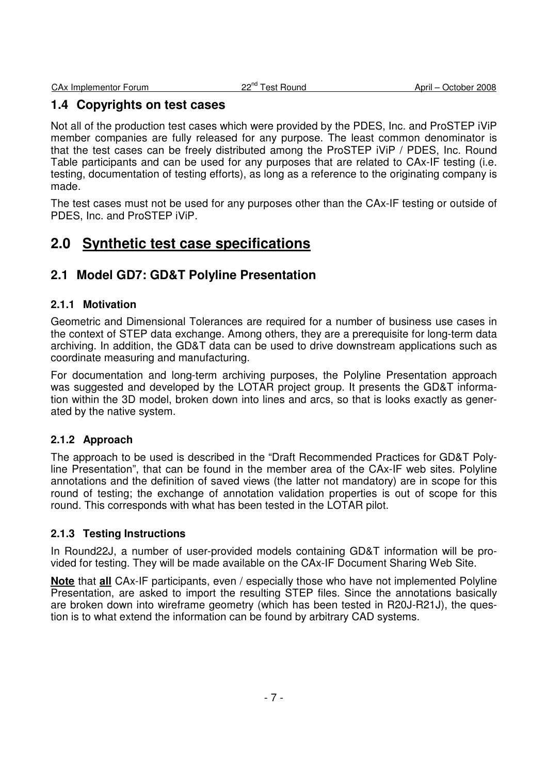## **1.4 Copyrights on test cases**

Not all of the production test cases which were provided by the PDES, Inc. and ProSTEP iViP member companies are fully released for any purpose. The least common denominator is that the test cases can be freely distributed among the ProSTEP iViP / PDES, Inc. Round Table participants and can be used for any purposes that are related to CAx-IF testing (i.e. testing, documentation of testing efforts), as long as a reference to the originating company is made.

The test cases must not be used for any purposes other than the CAx-IF testing or outside of PDES, Inc. and ProSTEP iViP.

## **2.0 Synthetic test case specifications**

## **2.1 Model GD7: GD&T Polyline Presentation**

## **2.1.1 Motivation**

Geometric and Dimensional Tolerances are required for a number of business use cases in the context of STEP data exchange. Among others, they are a prerequisite for long-term data archiving. In addition, the GD&T data can be used to drive downstream applications such as coordinate measuring and manufacturing.

For documentation and long-term archiving purposes, the Polyline Presentation approach was suggested and developed by the LOTAR project group. It presents the GD&T information within the 3D model, broken down into lines and arcs, so that is looks exactly as generated by the native system.

#### **2.1.2 Approach**

The approach to be used is described in the "Draft Recommended Practices for GD&T Polyline Presentation", that can be found in the member area of the CAx-IF web sites. Polyline annotations and the definition of saved views (the latter not mandatory) are in scope for this round of testing; the exchange of annotation validation properties is out of scope for this round. This corresponds with what has been tested in the LOTAR pilot.

#### **2.1.3 Testing Instructions**

In Round22J, a number of user-provided models containing GD&T information will be provided for testing. They will be made available on the CAx-IF Document Sharing Web Site.

**Note** that **all** CAx-IF participants, even / especially those who have not implemented Polyline Presentation, are asked to import the resulting STEP files. Since the annotations basically are broken down into wireframe geometry (which has been tested in R20J-R21J), the question is to what extend the information can be found by arbitrary CAD systems.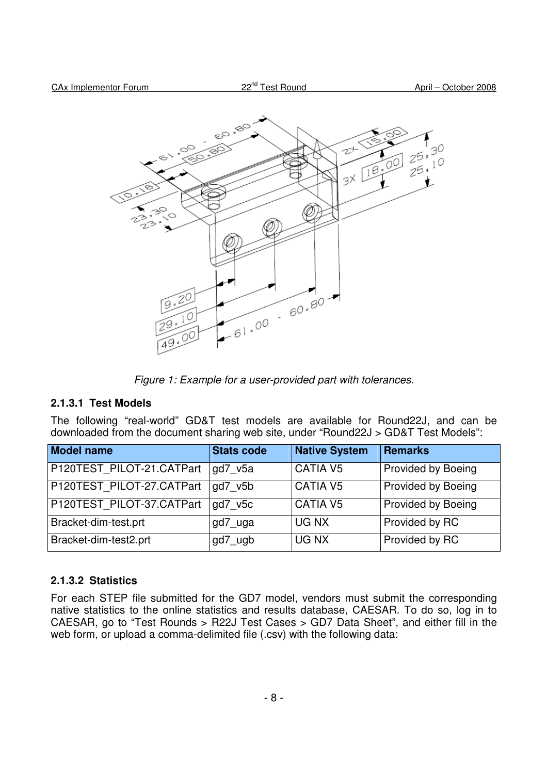

Figure 1: Example for a user-provided part with tolerances.

#### **2.1.3.1 Test Models**

The following "real-world" GD&T test models are available for Round22J, and can be downloaded from the document sharing web site, under "Round22J > GD&T Test Models":

| <b>Model name</b>         | <b>Stats code</b> | <b>Native System</b> | Remarks                   |
|---------------------------|-------------------|----------------------|---------------------------|
| P120TEST_PILOT-21.CATPart | gd7 v5a           | <b>CATIA V5</b>      | Provided by Boeing        |
| P120TEST_PILOT-27.CATPart | gd7 v5b           | <b>CATIA V5</b>      | <b>Provided by Boeing</b> |
| P120TEST_PILOT-37.CATPart | gd7_v5c           | <b>CATIA V5</b>      | <b>Provided by Boeing</b> |
| Bracket-dim-test.prt      | gd7_uga           | UG NX                | Provided by RC            |
| Bracket-dim-test2.prt     | gd7_ugb           | UG NX                | Provided by RC            |

#### **2.1.3.2 Statistics**

For each STEP file submitted for the GD7 model, vendors must submit the corresponding native statistics to the online statistics and results database, CAESAR. To do so, log in to CAESAR, go to "Test Rounds > R22J Test Cases > GD7 Data Sheet", and either fill in the web form, or upload a comma-delimited file (.csv) with the following data: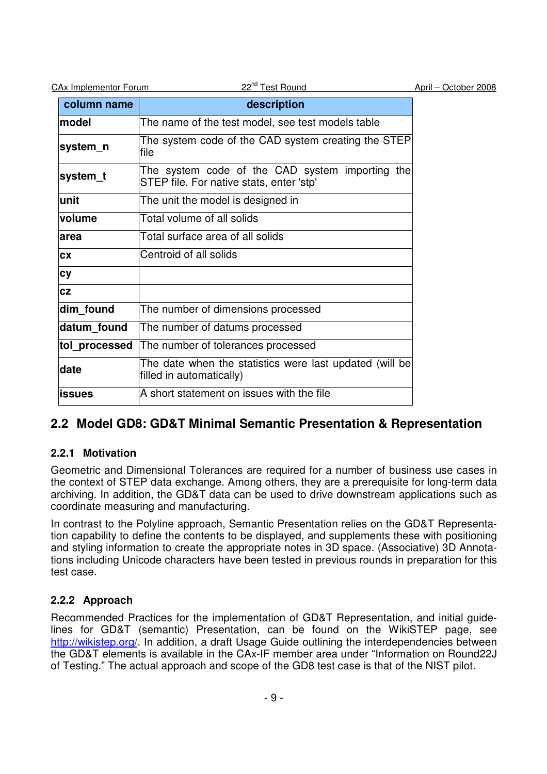| <b>CAx Implementor Forum</b> | 22 <sup>nd</sup> Test Round                                                                 | April - October 2008 |
|------------------------------|---------------------------------------------------------------------------------------------|----------------------|
| column name                  | description                                                                                 |                      |
| model                        | The name of the test model, see test models table                                           |                      |
| system_n                     | The system code of the CAD system creating the STEP<br>lfile                                |                      |
| system_t                     | The system code of the CAD system importing the<br>STEP file. For native stats, enter 'stp' |                      |
| unit                         | The unit the model is designed in                                                           |                      |
| volume                       | Total volume of all solids                                                                  |                      |
| area                         | Total surface area of all solids                                                            |                      |
| <b>CX</b>                    | Centroid of all solids                                                                      |                      |
| <b>cy</b>                    |                                                                                             |                      |
| cz                           |                                                                                             |                      |
| dim_found                    | The number of dimensions processed                                                          |                      |
| datum found                  | The number of datums processed                                                              |                      |
| tol_processed                | The number of tolerances processed                                                          |                      |
| date                         | The date when the statistics were last updated (will be)<br>filled in automatically)        |                      |
| <b>issues</b>                | A short statement on issues with the file                                                   |                      |

## **2.2 Model GD8: GD&T Minimal Semantic Presentation & Representation**

## **2.2.1 Motivation**

Geometric and Dimensional Tolerances are required for a number of business use cases in the context of STEP data exchange. Among others, they are a prerequisite for long-term data archiving. In addition, the GD&T data can be used to drive downstream applications such as coordinate measuring and manufacturing.

In contrast to the Polyline approach, Semantic Presentation relies on the GD&T Representation capability to define the contents to be displayed, and supplements these with positioning and styling information to create the appropriate notes in 3D space. (Associative) 3D Annotations including Unicode characters have been tested in previous rounds in preparation for this test case.

## **2.2.2 Approach**

Recommended Practices for the implementation of GD&T Representation, and initial guidelines for GD&T (semantic) Presentation, can be found on the WikiSTEP page, see http://wikistep.org/. In addition, a draft Usage Guide outlining the interdependencies between the GD&T elements is available in the CAx-IF member area under "Information on Round22J of Testing." The actual approach and scope of the GD8 test case is that of the NIST pilot.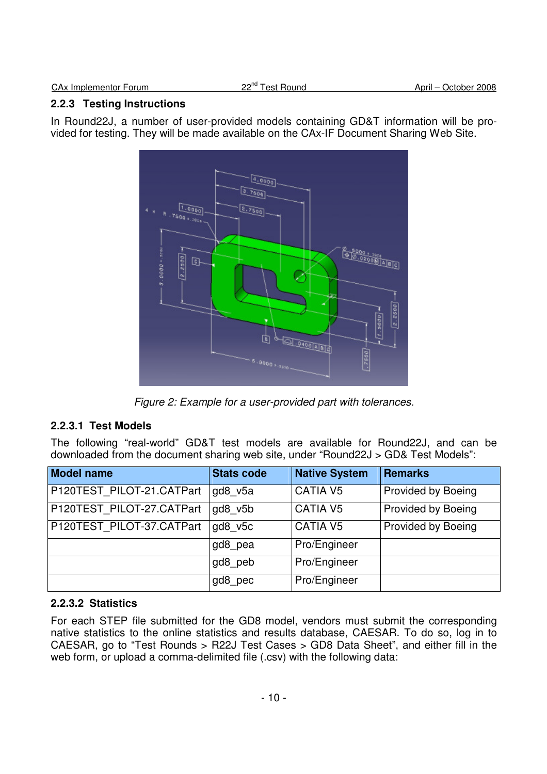#### **2.2.3 Testing Instructions**

In Round22J, a number of user-provided models containing GD&T information will be provided for testing. They will be made available on the CAx-IF Document Sharing Web Site.



Figure 2: Example for a user-provided part with tolerances.

## **2.2.3.1 Test Models**

The following "real-world" GD&T test models are available for Round22J, and can be downloaded from the document sharing web site, under "Round22J > GD& Test Models":

| <b>Model name</b>         | <b>Stats code</b> | <b>Native System</b> | Remarks                   |
|---------------------------|-------------------|----------------------|---------------------------|
| P120TEST_PILOT-21.CATPart | gd8 v5a           | <b>CATIA V5</b>      | Provided by Boeing        |
| P120TEST_PILOT-27.CATPart | gd8 v5b           | CATIA V5             | Provided by Boeing        |
| P120TEST_PILOT-37.CATPart | gd8 v5c           | <b>CATIA V5</b>      | <b>Provided by Boeing</b> |
|                           | gd8 pea           | Pro/Engineer         |                           |
|                           | gd8_peb           | Pro/Engineer         |                           |
|                           | .gd8_pec          | Pro/Engineer         |                           |

## **2.2.3.2 Statistics**

For each STEP file submitted for the GD8 model, vendors must submit the corresponding native statistics to the online statistics and results database, CAESAR. To do so, log in to CAESAR, go to "Test Rounds > R22J Test Cases > GD8 Data Sheet", and either fill in the web form, or upload a comma-delimited file (.csv) with the following data: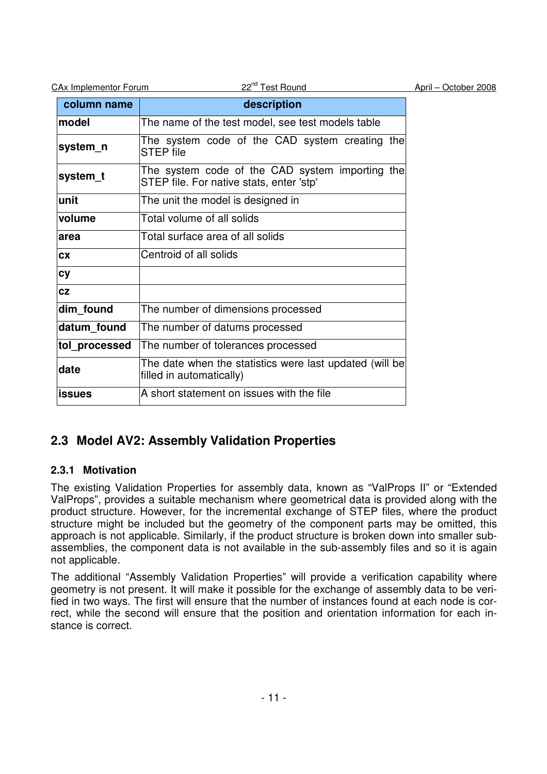| <b>CAx Implementor Forum</b> | 22 <sup>nd</sup> Test Round                                                                 | April - October 2008 |
|------------------------------|---------------------------------------------------------------------------------------------|----------------------|
| column name                  | description                                                                                 |                      |
| model                        | The name of the test model, see test models table                                           |                      |
| system n                     | The system code of the CAD system creating the<br><b>STEP</b> file                          |                      |
| system_t                     | The system code of the CAD system importing the<br>STEP file. For native stats, enter 'stp' |                      |
| unit                         | The unit the model is designed in                                                           |                      |
| volume                       | Total volume of all solids                                                                  |                      |
| larea                        | Total surface area of all solids                                                            |                      |
| <b>CX</b>                    | Centroid of all solids                                                                      |                      |
| <b>cy</b>                    |                                                                                             |                      |
| <b>CZ</b>                    |                                                                                             |                      |
| dim found                    | The number of dimensions processed                                                          |                      |
| datum found                  | The number of datums processed                                                              |                      |
| tol_processed                | The number of tolerances processed                                                          |                      |
| date                         | The date when the statistics were last updated (will be)<br>filled in automatically)        |                      |
| <b>issues</b>                | A short statement on issues with the file                                                   |                      |

## **2.3 Model AV2: Assembly Validation Properties**

## **2.3.1 Motivation**

The existing Validation Properties for assembly data, known as "ValProps II" or "Extended ValProps", provides a suitable mechanism where geometrical data is provided along with the product structure. However, for the incremental exchange of STEP files, where the product structure might be included but the geometry of the component parts may be omitted, this approach is not applicable. Similarly, if the product structure is broken down into smaller subassemblies, the component data is not available in the sub-assembly files and so it is again not applicable.

The additional "Assembly Validation Properties" will provide a verification capability where geometry is not present. It will make it possible for the exchange of assembly data to be verified in two ways. The first will ensure that the number of instances found at each node is correct, while the second will ensure that the position and orientation information for each instance is correct.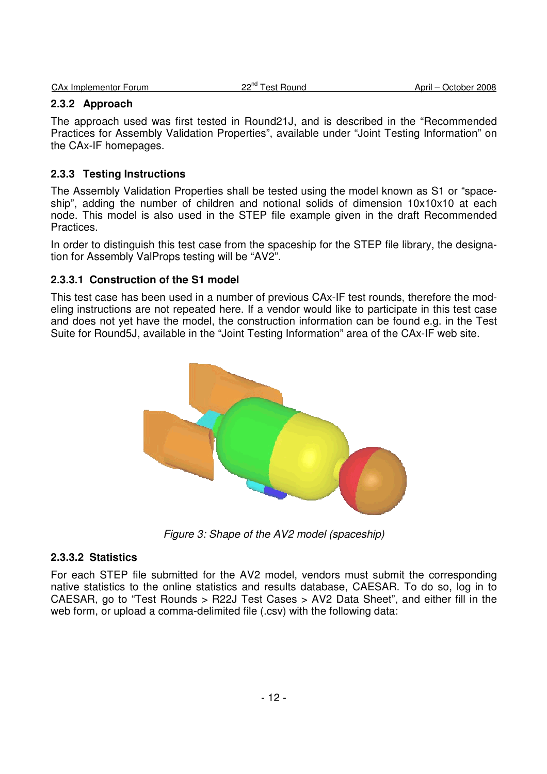|  | <b>CAx Implementor Forum</b> |  |
|--|------------------------------|--|

#### **2.3.2 Approach**

The approach used was first tested in Round21J, and is described in the "Recommended Practices for Assembly Validation Properties", available under "Joint Testing Information" on the CAx-IF homepages.

#### **2.3.3 Testing Instructions**

The Assembly Validation Properties shall be tested using the model known as S1 or "spaceship", adding the number of children and notional solids of dimension 10x10x10 at each node. This model is also used in the STEP file example given in the draft Recommended Practices.

In order to distinguish this test case from the spaceship for the STEP file library, the designation for Assembly ValProps testing will be "AV2".

#### **2.3.3.1 Construction of the S1 model**

This test case has been used in a number of previous CAx-IF test rounds, therefore the modeling instructions are not repeated here. If a vendor would like to participate in this test case and does not yet have the model, the construction information can be found e.g. in the Test Suite for Round5J, available in the "Joint Testing Information" area of the CAx-IF web site.



Figure 3: Shape of the AV2 model (spaceship)

#### **2.3.3.2 Statistics**

For each STEP file submitted for the AV2 model, vendors must submit the corresponding native statistics to the online statistics and results database, CAESAR. To do so, log in to CAESAR, go to "Test Rounds > R22J Test Cases > AV2 Data Sheet", and either fill in the web form, or upload a comma-delimited file (.csv) with the following data: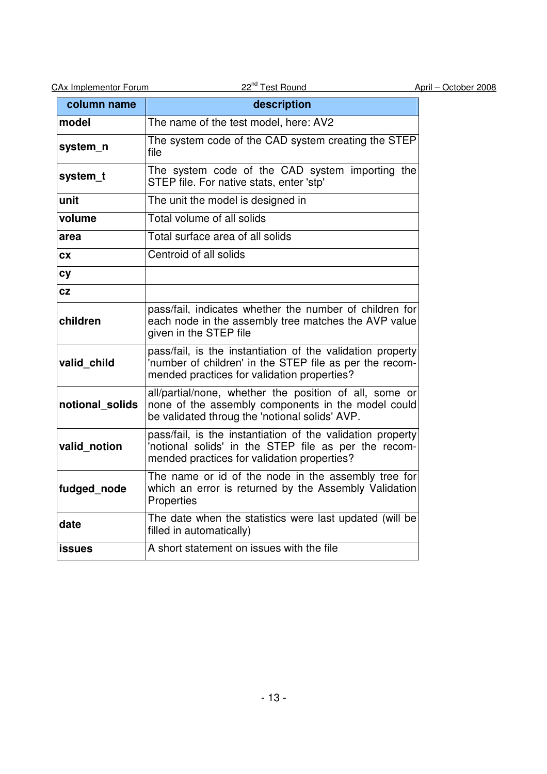| column name     | description                                                                                                                                                          |
|-----------------|----------------------------------------------------------------------------------------------------------------------------------------------------------------------|
| model           | The name of the test model, here: AV2                                                                                                                                |
| system_n        | The system code of the CAD system creating the STEP<br>file                                                                                                          |
| system_t        | The system code of the CAD system importing the<br>STEP file. For native stats, enter 'stp'                                                                          |
| unit            | The unit the model is designed in                                                                                                                                    |
| volume          | Total volume of all solids                                                                                                                                           |
| area            | Total surface area of all solids                                                                                                                                     |
| CХ              | Centroid of all solids                                                                                                                                               |
| cy              |                                                                                                                                                                      |
| CZ              |                                                                                                                                                                      |
| children        | pass/fail, indicates whether the number of children for<br>each node in the assembly tree matches the AVP value<br>given in the STEP file                            |
| valid_child     | pass/fail, is the instantiation of the validation property<br>'number of children' in the STEP file as per the recom-<br>mended practices for validation properties? |
| notional solids | all/partial/none, whether the position of all, some or<br>none of the assembly components in the model could<br>be validated throug the 'notional solids' AVP.       |
| valid notion    | pass/fail, is the instantiation of the validation property<br>'notional solids' in the STEP file as per the recom-<br>mended practices for validation properties?    |
| fudged_node     | The name or id of the node in the assembly tree for<br>which an error is returned by the Assembly Validation<br>Properties                                           |
| date            | The date when the statistics were last updated (will be<br>filled in automatically)                                                                                  |
| <b>issues</b>   | A short statement on issues with the file                                                                                                                            |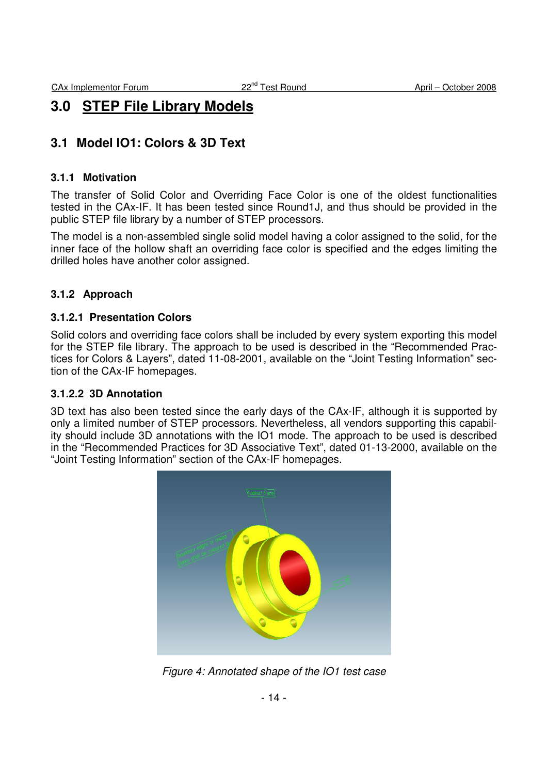## **3.0 STEP File Library Models**

## **3.1 Model IO1: Colors & 3D Text**

#### **3.1.1 Motivation**

The transfer of Solid Color and Overriding Face Color is one of the oldest functionalities tested in the CAx-IF. It has been tested since Round1J, and thus should be provided in the public STEP file library by a number of STEP processors.

The model is a non-assembled single solid model having a color assigned to the solid, for the inner face of the hollow shaft an overriding face color is specified and the edges limiting the drilled holes have another color assigned.

## **3.1.2 Approach**

#### **3.1.2.1 Presentation Colors**

Solid colors and overriding face colors shall be included by every system exporting this model for the STEP file library. The approach to be used is described in the "Recommended Practices for Colors & Layers", dated 11-08-2001, available on the "Joint Testing Information" section of the CAx-IF homepages.

#### **3.1.2.2 3D Annotation**

3D text has also been tested since the early days of the CAx-IF, although it is supported by only a limited number of STEP processors. Nevertheless, all vendors supporting this capability should include 3D annotations with the IO1 mode. The approach to be used is described in the "Recommended Practices for 3D Associative Text", dated 01-13-2000, available on the "Joint Testing Information" section of the CAx-IF homepages.



Figure 4: Annotated shape of the IO1 test case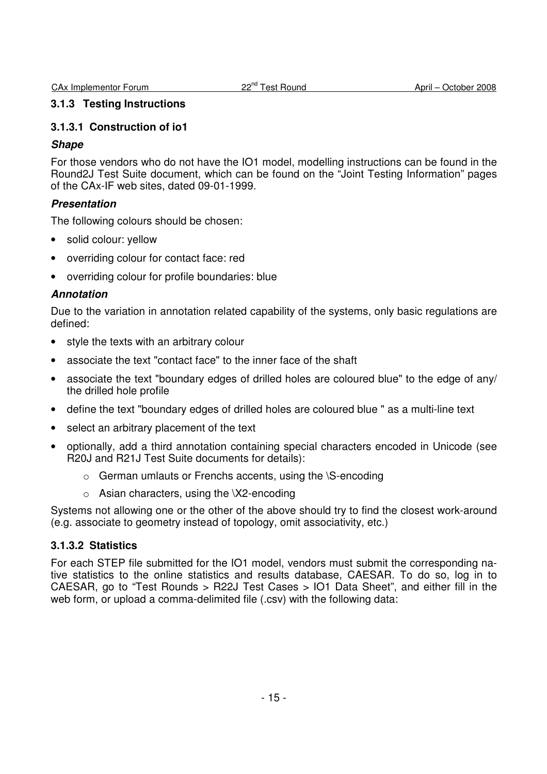#### **3.1.3 Testing Instructions**

#### **3.1.3.1 Construction of io1**

#### **Shape**

For those vendors who do not have the IO1 model, modelling instructions can be found in the Round2J Test Suite document, which can be found on the "Joint Testing Information" pages of the CAx-IF web sites, dated 09-01-1999.

## **Presentation**

The following colours should be chosen:

- solid colour: yellow
- overriding colour for contact face: red
- overriding colour for profile boundaries: blue

#### **Annotation**

Due to the variation in annotation related capability of the systems, only basic regulations are defined:

- style the texts with an arbitrary colour
- associate the text "contact face" to the inner face of the shaft
- associate the text "boundary edges of drilled holes are coloured blue" to the edge of any/ the drilled hole profile
- define the text "boundary edges of drilled holes are coloured blue " as a multi-line text
- select an arbitrary placement of the text
- optionally, add a third annotation containing special characters encoded in Unicode (see R20J and R21J Test Suite documents for details):
	- o German umlauts or Frenchs accents, using the \S-encoding
	- $\circ$  Asian characters, using the \X2-encoding

Systems not allowing one or the other of the above should try to find the closest work-around (e.g. associate to geometry instead of topology, omit associativity, etc.)

#### **3.1.3.2 Statistics**

For each STEP file submitted for the IO1 model, vendors must submit the corresponding native statistics to the online statistics and results database, CAESAR. To do so, log in to CAESAR, go to "Test Rounds > R22J Test Cases > IO1 Data Sheet", and either fill in the web form, or upload a comma-delimited file (.csv) with the following data: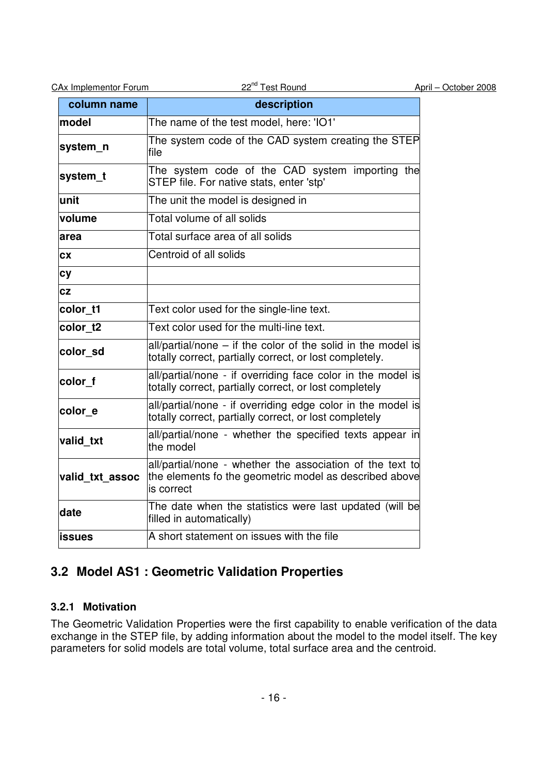| <b>CAx Implementor Forum</b> |  |
|------------------------------|--|
|                              |  |

| column name     | description                                                                                                                       |
|-----------------|-----------------------------------------------------------------------------------------------------------------------------------|
| model           | The name of the test model, here: 'IO1'                                                                                           |
| system_n        | The system code of the CAD system creating the STEP<br>file                                                                       |
| system_t        | The system code of the CAD system importing the<br>STEP file. For native stats, enter 'stp'                                       |
| unit            | The unit the model is designed in                                                                                                 |
| volume          | Total volume of all solids                                                                                                        |
| area            | Total surface area of all solids                                                                                                  |
| CX              | Centroid of all solids                                                                                                            |
| <b>cy</b>       |                                                                                                                                   |
| CZ              |                                                                                                                                   |
| color t1        | Text color used for the single-line text.                                                                                         |
| color_t2        | Text color used for the multi-line text.                                                                                          |
| color sd        | $all/partial/none - if the color of the solid in the model is$<br>totally correct, partially correct, or lost completely.         |
| color_f         | all/partial/none - if overriding face color in the model is<br>totally correct, partially correct, or lost completely             |
| color e         | all/partial/none - if overriding edge color in the model is<br>totally correct, partially correct, or lost completely             |
| valid txt       | all/partial/none - whether the specified texts appear in<br>the model                                                             |
| valid_txt_assoc | all/partial/none - whether the association of the text to<br>the elements fo the geometric model as described above<br>is correct |
| date            | The date when the statistics were last updated (will be<br>filled in automatically)                                               |
| issues          | A short statement on issues with the file                                                                                         |

## **3.2 Model AS1 : Geometric Validation Properties**

## **3.2.1 Motivation**

The Geometric Validation Properties were the first capability to enable verification of the data exchange in the STEP file, by adding information about the model to the model itself. The key parameters for solid models are total volume, total surface area and the centroid.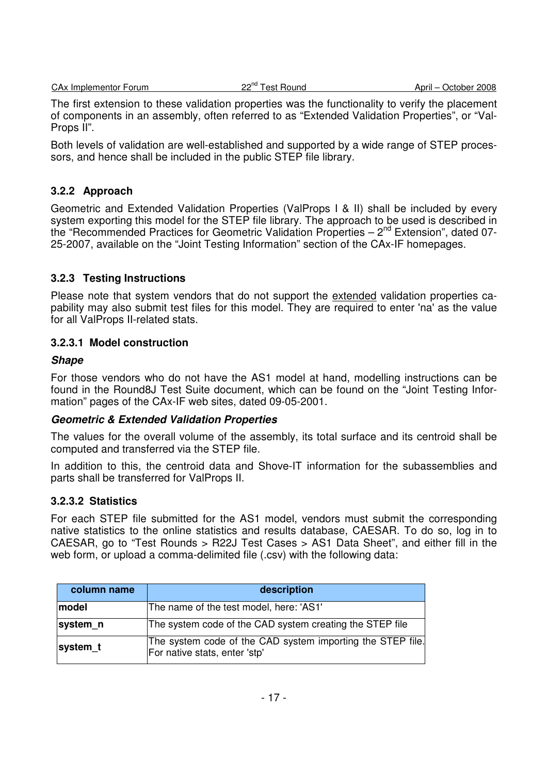The first extension to these validation properties was the functionality to verify the placement of components in an assembly, often referred to as "Extended Validation Properties", or "Val-Props II".

Both levels of validation are well-established and supported by a wide range of STEP processors, and hence shall be included in the public STEP file library.

## **3.2.2 Approach**

Geometric and Extended Validation Properties (ValProps I & II) shall be included by every system exporting this model for the STEP file library. The approach to be used is described in the "Recommended Practices for Geometric Validation Properties  $-2^{nd}$  Extension", dated 07-25-2007, available on the "Joint Testing Information" section of the CAx-IF homepages.

## **3.2.3 Testing Instructions**

Please note that system vendors that do not support the extended validation properties capability may also submit test files for this model. They are required to enter 'na' as the value for all ValProps II-related stats.

## **3.2.3.1 Model construction**

#### **Shape**

For those vendors who do not have the AS1 model at hand, modelling instructions can be found in the Round8J Test Suite document, which can be found on the "Joint Testing Information" pages of the CAx-IF web sites, dated 09-05-2001.

## **Geometric & Extended Validation Properties**

The values for the overall volume of the assembly, its total surface and its centroid shall be computed and transferred via the STEP file.

In addition to this, the centroid data and Shove-IT information for the subassemblies and parts shall be transferred for ValProps II.

## **3.2.3.2 Statistics**

For each STEP file submitted for the AS1 model, vendors must submit the corresponding native statistics to the online statistics and results database, CAESAR. To do so, log in to CAESAR, go to "Test Rounds > R22J Test Cases > AS1 Data Sheet", and either fill in the web form, or upload a comma-delimited file (.csv) with the following data:

| column name | description                                                                                 |
|-------------|---------------------------------------------------------------------------------------------|
| model       | The name of the test model, here: 'AS1'                                                     |
| system_n    | The system code of the CAD system creating the STEP file                                    |
| system t    | The system code of the CAD system importing the STEP file.<br>For native stats, enter 'stp' |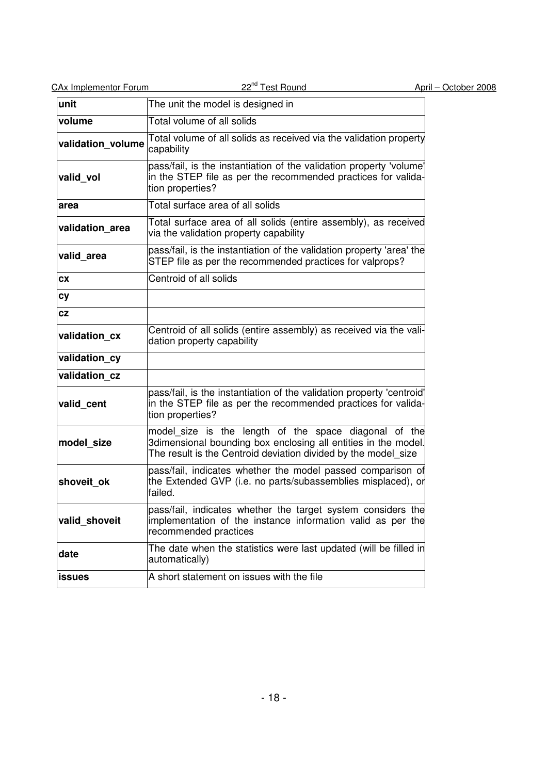| <b>CAx Implementor Forum</b> | 22 <sup>nd</sup> Test Round                                                                                                                                                               | April - October 2008 |
|------------------------------|-------------------------------------------------------------------------------------------------------------------------------------------------------------------------------------------|----------------------|
| unit                         | The unit the model is designed in                                                                                                                                                         |                      |
| volume                       | Total volume of all solids                                                                                                                                                                |                      |
| validation_volume            | Total volume of all solids as received via the validation property<br>capability                                                                                                          |                      |
| valid_vol                    | pass/fail, is the instantiation of the validation property 'volume'<br>in the STEP file as per the recommended practices for valida-<br>tion properties?                                  |                      |
| area                         | Total surface area of all solids                                                                                                                                                          |                      |
| validation_area              | Total surface area of all solids (entire assembly), as received<br>via the validation property capability                                                                                 |                      |
| valid_area                   | pass/fail, is the instantiation of the validation property 'area' the<br>STEP file as per the recommended practices for valprops?                                                         |                      |
| <b>CX</b>                    | Centroid of all solids                                                                                                                                                                    |                      |
| cy                           |                                                                                                                                                                                           |                      |
| <b>CZ</b>                    |                                                                                                                                                                                           |                      |
| validation cx                | Centroid of all solids (entire assembly) as received via the vali-<br>dation property capability                                                                                          |                      |
| validation cy                |                                                                                                                                                                                           |                      |
| validation cz                |                                                                                                                                                                                           |                      |
| valid_cent                   | pass/fail, is the instantiation of the validation property 'centroid'<br>in the STEP file as per the recommended practices for valida-<br>tion properties?                                |                      |
| model_size                   | model_size is the length of the space diagonal of the<br>3dimensional bounding box enclosing all entities in the model.<br>The result is the Centroid deviation divided by the model size |                      |
| shoveit ok                   | pass/fail, indicates whether the model passed comparison of<br>the Extended GVP (i.e. no parts/subassemblies misplaced), or<br>tailed.                                                    |                      |
| valid_shoveit                | pass/fail, indicates whether the target system considers the<br>implementation of the instance information valid as per the<br>recommended practices                                      |                      |
| date                         | The date when the statistics were last updated (will be filled in<br>automatically)                                                                                                       |                      |
| issues                       | A short statement on issues with the file                                                                                                                                                 |                      |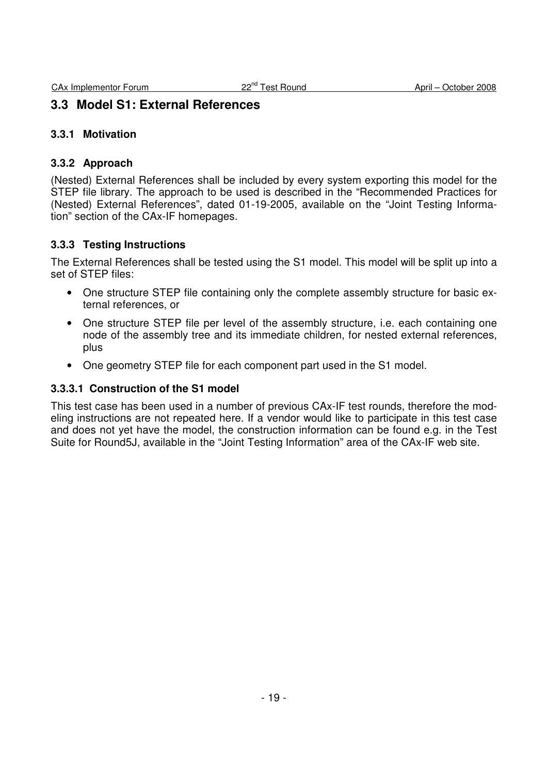## **3.3 Model S1: External References**

#### **3.3.1 Motivation**

#### **3.3.2 Approach**

(Nested) External References shall be included by every system exporting this model for the STEP file library. The approach to be used is described in the "Recommended Practices for (Nested) External References", dated 01-19-2005, available on the "Joint Testing Information" section of the CAx-IF homepages.

#### **3.3.3 Testing Instructions**

The External References shall be tested using the S1 model. This model will be split up into a set of STEP files:

- One structure STEP file containing only the complete assembly structure for basic external references, or
- One structure STEP file per level of the assembly structure, i.e. each containing one node of the assembly tree and its immediate children, for nested external references, plus
- One geometry STEP file for each component part used in the S1 model.

#### **3.3.3.1 Construction of the S1 model**

This test case has been used in a number of previous CAx-IF test rounds, therefore the modeling instructions are not repeated here. If a vendor would like to participate in this test case and does not yet have the model, the construction information can be found e.g. in the Test Suite for Round5J, available in the "Joint Testing Information" area of the CAx-IF web site.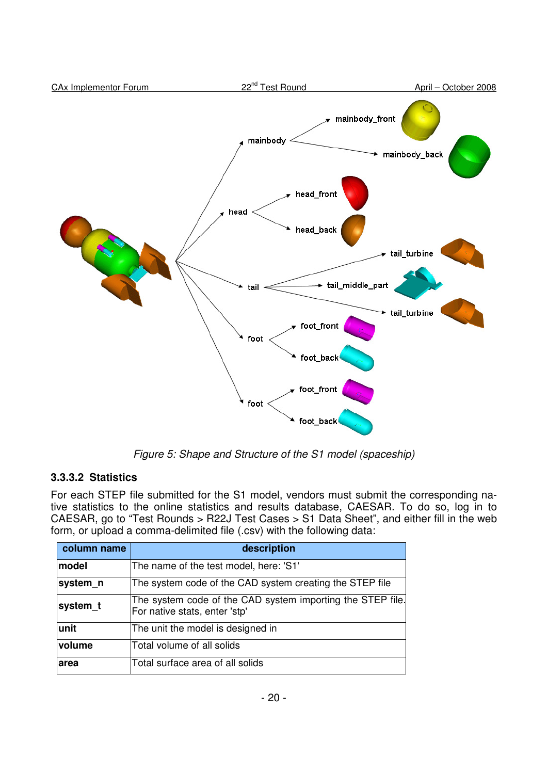

Figure 5: Shape and Structure of the S1 model (spaceship)

## **3.3.3.2 Statistics**

For each STEP file submitted for the S1 model, vendors must submit the corresponding native statistics to the online statistics and results database, CAESAR. To do so, log in to CAESAR, go to "Test Rounds > R22J Test Cases > S1 Data Sheet", and either fill in the web form, or upload a comma-delimited file (.csv) with the following data:

| column name | description                                                                                 |
|-------------|---------------------------------------------------------------------------------------------|
| model       | The name of the test model, here: 'S1'                                                      |
| system_n    | The system code of the CAD system creating the STEP file                                    |
| system_t    | The system code of the CAD system importing the STEP file.<br>For native stats, enter 'stp' |
| unit        | The unit the model is designed in                                                           |
| volume      | Total volume of all solids                                                                  |
| larea       | Total surface area of all solids                                                            |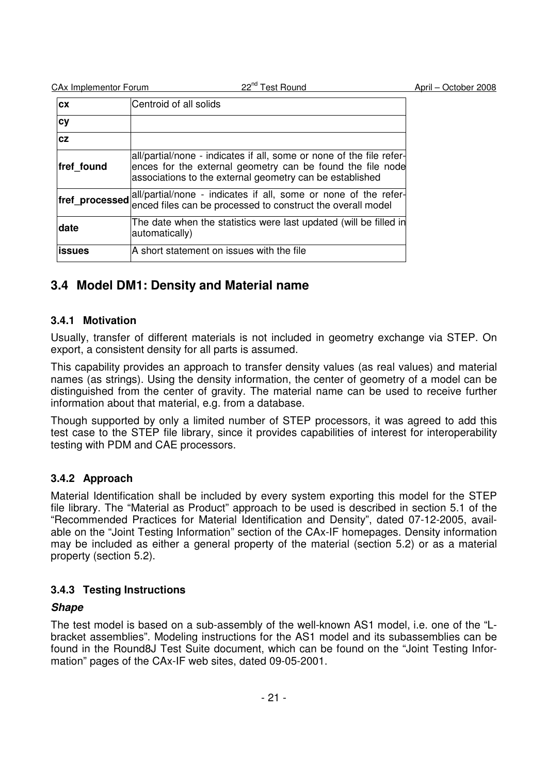| <b>CX</b>      | Centroid of all solids                                                                                                                                                                         |
|----------------|------------------------------------------------------------------------------------------------------------------------------------------------------------------------------------------------|
| cy             |                                                                                                                                                                                                |
| <b>cz</b>      |                                                                                                                                                                                                |
| fref found     | all/partial/none - indicates if all, some or none of the file refer-<br>ences for the external geometry can be found the file node<br>associations to the external geometry can be established |
| fref_processed | all/partial/none - indicates if all, some or none of the refer-<br>enced files can be processed to construct the overall model                                                                 |
| <b>date</b>    | The date when the statistics were last updated (will be filled in<br>automatically)                                                                                                            |
| lissues        | A short statement on issues with the file                                                                                                                                                      |

## **3.4 Model DM1: Density and Material name**

## **3.4.1 Motivation**

Usually, transfer of different materials is not included in geometry exchange via STEP. On export, a consistent density for all parts is assumed.

This capability provides an approach to transfer density values (as real values) and material names (as strings). Using the density information, the center of geometry of a model can be distinguished from the center of gravity. The material name can be used to receive further information about that material, e.g. from a database.

Though supported by only a limited number of STEP processors, it was agreed to add this test case to the STEP file library, since it provides capabilities of interest for interoperability testing with PDM and CAE processors.

## **3.4.2 Approach**

Material Identification shall be included by every system exporting this model for the STEP file library. The "Material as Product" approach to be used is described in section 5.1 of the "Recommended Practices for Material Identification and Density", dated 07-12-2005, available on the "Joint Testing Information" section of the CAx-IF homepages. Density information may be included as either a general property of the material (section 5.2) or as a material property (section 5.2).

## **3.4.3 Testing Instructions**

## **Shape**

The test model is based on a sub-assembly of the well-known AS1 model, i.e. one of the "Lbracket assemblies". Modeling instructions for the AS1 model and its subassemblies can be found in the Round8J Test Suite document, which can be found on the "Joint Testing Information" pages of the CAx-IF web sites, dated 09-05-2001.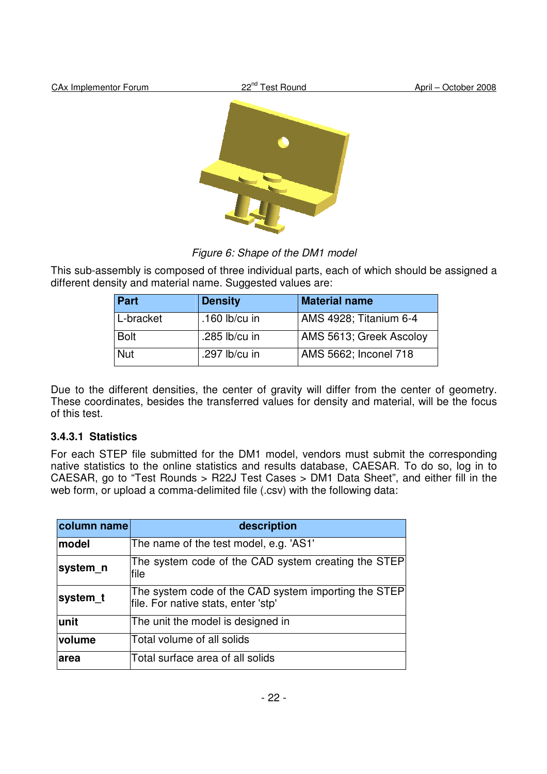

Figure 6: Shape of the DM1 model

This sub-assembly is composed of three individual parts, each of which should be assigned a different density and material name. Suggested values are:

| Part        | <b>Density</b>  | <b>Material name</b>    |
|-------------|-----------------|-------------------------|
| L-bracket   | .160 $lb/cu$ in | AMS 4928; Titanium 6-4  |
| <b>Bolt</b> | .285 $lb/cu$ in | AMS 5613; Greek Ascoloy |
| Nut         | .297 lb/cu in   | AMS 5662; Inconel 718   |

Due to the different densities, the center of gravity will differ from the center of geometry. These coordinates, besides the transferred values for density and material, will be the focus of this test.

## **3.4.3.1 Statistics**

For each STEP file submitted for the DM1 model, vendors must submit the corresponding native statistics to the online statistics and results database, CAESAR. To do so, log in to CAESAR, go to "Test Rounds > R22J Test Cases > DM1 Data Sheet", and either fill in the web form, or upload a comma-delimited file (.csv) with the following data:

| column name | description                                                                                 |  |  |
|-------------|---------------------------------------------------------------------------------------------|--|--|
| model       | The name of the test model, e.g. 'AS1'                                                      |  |  |
| system_n    | The system code of the CAD system creating the STEP<br>file                                 |  |  |
| system_t    | The system code of the CAD system importing the STEP<br>file. For native stats, enter 'stp' |  |  |
| unit        | The unit the model is designed in                                                           |  |  |
| volume      | Total volume of all solids                                                                  |  |  |
| larea       | Total surface area of all solids                                                            |  |  |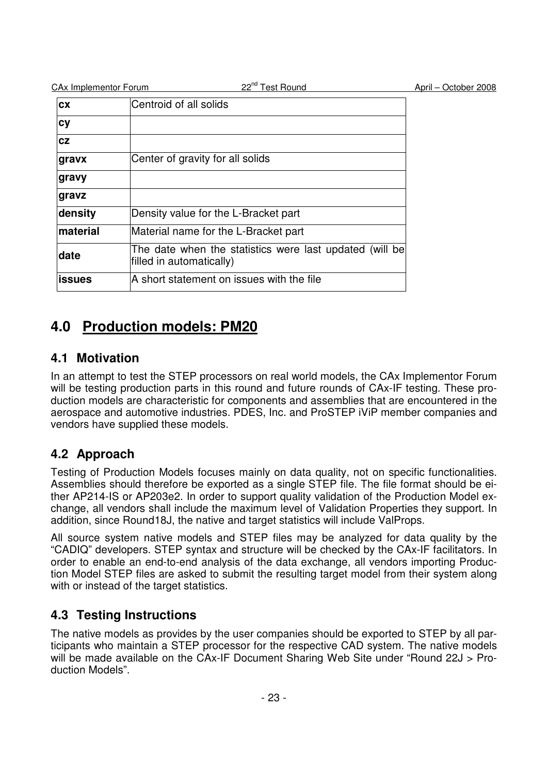| <b>CAx Implementor Forum</b> | 22 <sup>nd</sup> Test Round                                                         | April - October 2008 |
|------------------------------|-------------------------------------------------------------------------------------|----------------------|
| <b>CX</b>                    | Centroid of all solids                                                              |                      |
| cy                           |                                                                                     |                      |
| cz                           |                                                                                     |                      |
| gravx                        | Center of gravity for all solids                                                    |                      |
| gravy                        |                                                                                     |                      |
| gravz                        |                                                                                     |                      |
| density                      | Density value for the L-Bracket part                                                |                      |
| <b>Imaterial</b>             | Material name for the L-Bracket part                                                |                      |
| date                         | The date when the statistics were last updated (will be<br>filled in automatically) |                      |
| lissues                      | A short statement on issues with the file                                           |                      |

# **4.0 Production models: PM20**

## **4.1 Motivation**

In an attempt to test the STEP processors on real world models, the CAx Implementor Forum will be testing production parts in this round and future rounds of CAx-IF testing. These production models are characteristic for components and assemblies that are encountered in the aerospace and automotive industries. PDES, Inc. and ProSTEP iViP member companies and vendors have supplied these models.

## **4.2 Approach**

Testing of Production Models focuses mainly on data quality, not on specific functionalities. Assemblies should therefore be exported as a single STEP file. The file format should be either AP214-IS or AP203e2. In order to support quality validation of the Production Model exchange, all vendors shall include the maximum level of Validation Properties they support. In addition, since Round18J, the native and target statistics will include ValProps.

All source system native models and STEP files may be analyzed for data quality by the "CADIQ" developers. STEP syntax and structure will be checked by the CAx-IF facilitators. In order to enable an end-to-end analysis of the data exchange, all vendors importing Production Model STEP files are asked to submit the resulting target model from their system along with or instead of the target statistics.

## **4.3 Testing Instructions**

The native models as provides by the user companies should be exported to STEP by all participants who maintain a STEP processor for the respective CAD system. The native models will be made available on the CAx-IF Document Sharing Web Site under "Round 22J > Production Models".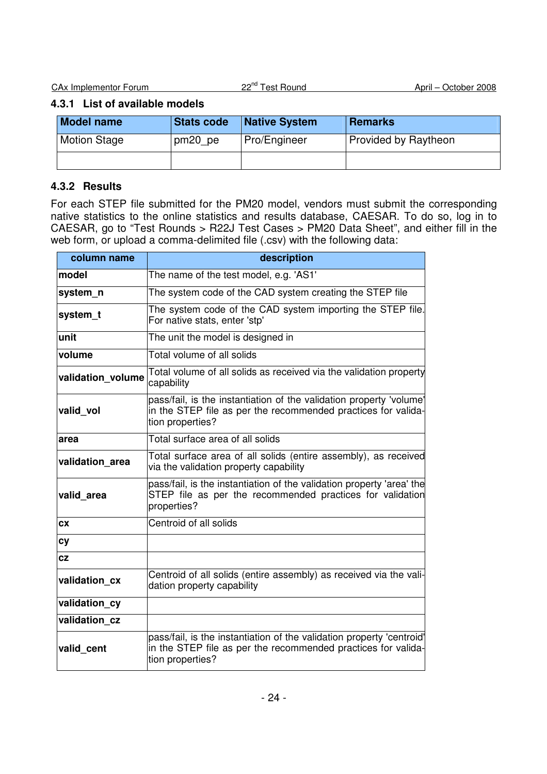## **4.3.1 List of available models**

| <b>Model name</b>   | <b>Stats code</b> | <b>Native System</b> | Remarks              |
|---------------------|-------------------|----------------------|----------------------|
| <b>Motion Stage</b> | pm20 pe           | Pro/Engineer         | Provided by Raytheon |
|                     |                   |                      |                      |

## **4.3.2 Results**

For each STEP file submitted for the PM20 model, vendors must submit the corresponding native statistics to the online statistics and results database, CAESAR. To do so, log in to CAESAR, go to "Test Rounds > R22J Test Cases > PM20 Data Sheet", and either fill in the web form, or upload a comma-delimited file (.csv) with the following data:

| column name       | description                                                                                                                                                |
|-------------------|------------------------------------------------------------------------------------------------------------------------------------------------------------|
| model             | The name of the test model, e.g. 'AS1'                                                                                                                     |
| system_n          | The system code of the CAD system creating the STEP file                                                                                                   |
| system_t          | The system code of the CAD system importing the STEP file.<br>For native stats, enter 'stp'                                                                |
| unit              | The unit the model is designed in                                                                                                                          |
| volume            | Total volume of all solids                                                                                                                                 |
| validation volume | Total volume of all solids as received via the validation property<br>capability                                                                           |
| valid_vol         | pass/fail, is the instantiation of the validation property 'volume'<br>in the STEP file as per the recommended practices for valida-<br>tion properties?   |
| area              | Total surface area of all solids                                                                                                                           |
| validation area   | Total surface area of all solids (entire assembly), as received<br>via the validation property capability                                                  |
| valid_area        | pass/fail, is the instantiation of the validation property 'area' the<br>STEP file as per the recommended practices for validation<br>properties?          |
| СX                | Centroid of all solids                                                                                                                                     |
| <b>cy</b>         |                                                                                                                                                            |
| CZ                |                                                                                                                                                            |
| validation_cx     | Centroid of all solids (entire assembly) as received via the vali-<br>dation property capability                                                           |
| validation cy     |                                                                                                                                                            |
| validation cz     |                                                                                                                                                            |
| valid cent        | pass/fail, is the instantiation of the validation property 'centroid'<br>in the STEP file as per the recommended practices for valida-<br>tion properties? |